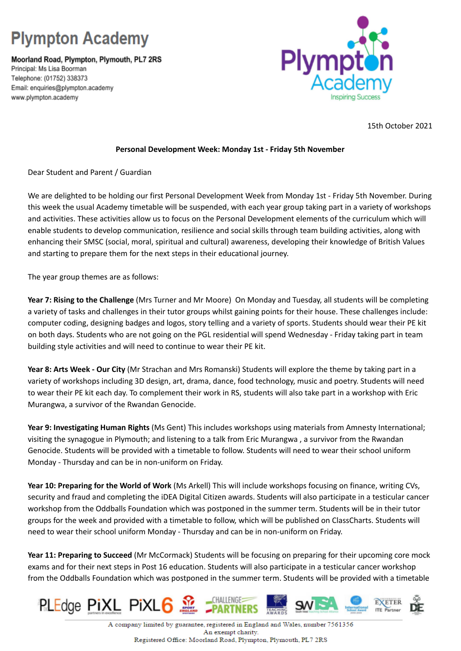## **Plympton Academy**

Moorland Road, Plympton, Plymouth, PL7 2RS Principal: Ms Lisa Boorman Telephone: (01752) 338373 Email: enquiries@plympton.academy www.plympton.academy



15th October 2021

## **Personal Development Week: Monday 1st - Friday 5th November**

Dear Student and Parent / Guardian

We are delighted to be holding our first Personal Development Week from Monday 1st - Friday 5th November. During this week the usual Academy timetable will be suspended, with each year group taking part in a variety of workshops and activities. These activities allow us to focus on the Personal Development elements of the curriculum which will enable students to develop communication, resilience and social skills through team building activities, along with enhancing their SMSC (social, moral, spiritual and cultural) awareness, developing their knowledge of British Values and starting to prepare them for the next steps in their educational journey.

The year group themes are as follows:

**Year 7: Rising to the Challenge** (Mrs Turner and Mr Moore) On Monday and Tuesday, all students will be completing a variety of tasks and challenges in their tutor groups whilst gaining points for their house. These challenges include: computer coding, designing badges and logos, story telling and a variety of sports. Students should wear their PE kit on both days. Students who are not going on the PGL residential will spend Wednesday - Friday taking part in team building style activities and will need to continue to wear their PE kit.

**Year 8: Arts Week - Our City** (Mr Strachan and Mrs Romanski) Students will explore the theme by taking part in a variety of workshops including 3D design, art, drama, dance, food technology, music and poetry. Students will need to wear their PE kit each day. To complement their work in RS, students will also take part in a workshop with Eric Murangwa, a survivor of the Rwandan Genocide.

**Year 9: Investigating Human Rights** (Ms Gent) This includes workshops using materials from Amnesty International; visiting the synagogue in Plymouth; and listening to a talk from Eric Murangwa , a survivor from the Rwandan Genocide. Students will be provided with a timetable to follow. Students will need to wear their school uniform Monday - Thursday and can be in non-uniform on Friday.

**Year 10: Preparing for the World of Work** (Ms Arkell) This will include workshops focusing on finance, writing CVs, security and fraud and completing the iDEA Digital Citizen awards. Students will also participate in a testicular cancer workshop from the Oddballs Foundation which was postponed in the summer term. Students will be in their tutor groups for the week and provided with a timetable to follow, which will be published on ClassCharts. Students will need to wear their school uniform Monday - Thursday and can be in non-uniform on Friday.

**Year 11: Preparing to Succeed** (Mr McCormack) Students will be focusing on preparing for their upcoming core mock exams and for their next steps in Post 16 education. Students will also participate in a testicular cancer workshop from the Oddballs Foundation which was postponed in the summer term. Students will be provided with a timetable



A company limited by guarantee, registered in England and Wales, number 7561356 An exempt charity. Registered Office: Moorland Road, Plympton, Plymouth, PL7 2RS